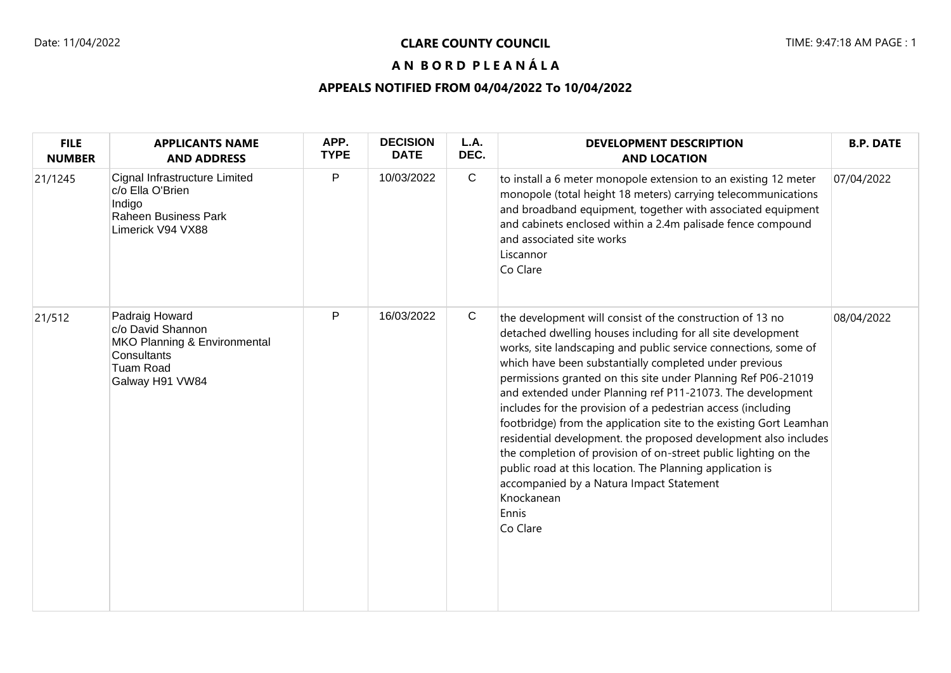# **A N B O R D P L E A N Á L A**

### **APPEALS NOTIFIED FROM 04/04/2022 To 10/04/2022**

| <b>FILE</b><br><b>NUMBER</b> | <b>APPLICANTS NAME</b><br><b>AND ADDRESS</b>                                                                              | APP.<br><b>TYPE</b> | <b>DECISION</b><br><b>DATE</b> | L.A.<br>DEC. | <b>DEVELOPMENT DESCRIPTION</b><br><b>AND LOCATION</b>                                                                                                                                                                                                                                                                                                                                                                                                                                                                                                                                                                                                                                                                                                                                                        | <b>B.P. DATE</b> |
|------------------------------|---------------------------------------------------------------------------------------------------------------------------|---------------------|--------------------------------|--------------|--------------------------------------------------------------------------------------------------------------------------------------------------------------------------------------------------------------------------------------------------------------------------------------------------------------------------------------------------------------------------------------------------------------------------------------------------------------------------------------------------------------------------------------------------------------------------------------------------------------------------------------------------------------------------------------------------------------------------------------------------------------------------------------------------------------|------------------|
| 21/1245                      | Cignal Infrastructure Limited<br>c/o Ella O'Brien<br>Indigo<br><b>Raheen Business Park</b><br>Limerick V94 VX88           | P                   | 10/03/2022                     | $\mathsf C$  | to install a 6 meter monopole extension to an existing 12 meter<br>monopole (total height 18 meters) carrying telecommunications<br>and broadband equipment, together with associated equipment<br>and cabinets enclosed within a 2.4m palisade fence compound<br>and associated site works<br>Liscannor<br>Co Clare                                                                                                                                                                                                                                                                                                                                                                                                                                                                                         | 07/04/2022       |
| 21/512                       | Padraig Howard<br>c/o David Shannon<br>MKO Planning & Environmental<br>Consultants<br><b>Tuam Road</b><br>Galway H91 VW84 | P                   | 16/03/2022                     | $\mathsf C$  | the development will consist of the construction of 13 no<br>detached dwelling houses including for all site development<br>works, site landscaping and public service connections, some of<br>which have been substantially completed under previous<br>permissions granted on this site under Planning Ref P06-21019<br>and extended under Planning ref P11-21073. The development<br>includes for the provision of a pedestrian access (including<br>footbridge) from the application site to the existing Gort Leamhan<br>residential development. the proposed development also includes<br>the completion of provision of on-street public lighting on the<br>public road at this location. The Planning application is<br>accompanied by a Natura Impact Statement<br>Knockanean<br>Ennis<br>Co Clare | 08/04/2022       |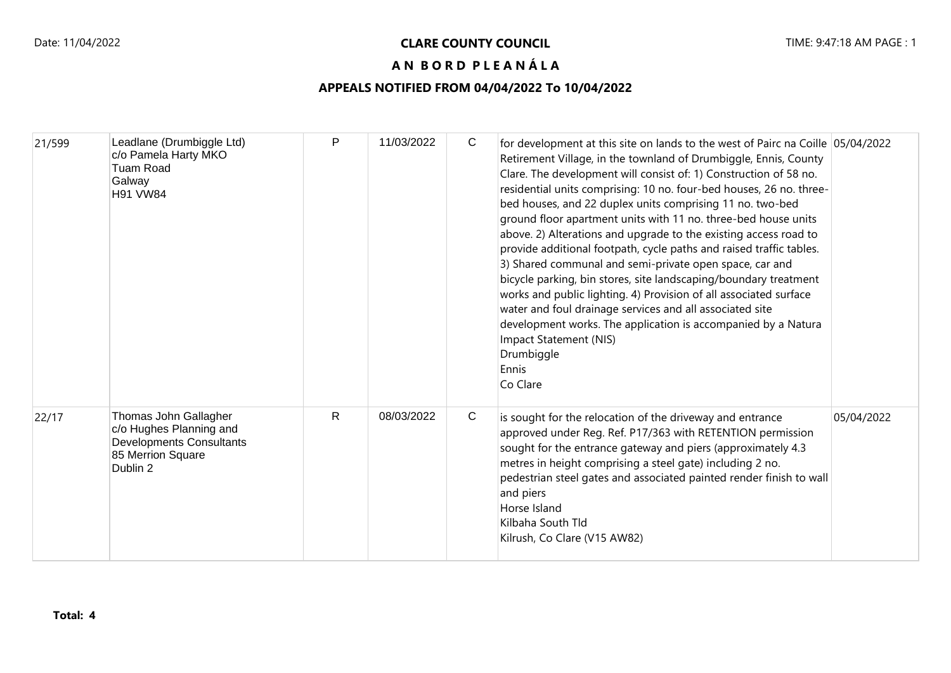# **A N B O R D P L E A N Á L A**

### **APPEALS NOTIFIED FROM 04/04/2022 To 10/04/2022**

| 21/599 | Leadlane (Drumbiggle Ltd)<br>c/o Pamela Harty MKO<br><b>Tuam Road</b><br>Galway<br><b>H91 VW84</b>                   | P            | 11/03/2022 | $\mathsf{C}$ | for development at this site on lands to the west of Pairc na Coille 05/04/2022<br>Retirement Village, in the townland of Drumbiggle, Ennis, County<br>Clare. The development will consist of: 1) Construction of 58 no.<br>residential units comprising: 10 no. four-bed houses, 26 no. three-<br>bed houses, and 22 duplex units comprising 11 no. two-bed<br>ground floor apartment units with 11 no. three-bed house units<br>above. 2) Alterations and upgrade to the existing access road to<br>provide additional footpath, cycle paths and raised traffic tables.<br>3) Shared communal and semi-private open space, car and<br>bicycle parking, bin stores, site landscaping/boundary treatment<br>works and public lighting. 4) Provision of all associated surface<br>water and foul drainage services and all associated site<br>development works. The application is accompanied by a Natura<br>Impact Statement (NIS)<br>Drumbiggle<br>Ennis<br>Co Clare |            |
|--------|----------------------------------------------------------------------------------------------------------------------|--------------|------------|--------------|-------------------------------------------------------------------------------------------------------------------------------------------------------------------------------------------------------------------------------------------------------------------------------------------------------------------------------------------------------------------------------------------------------------------------------------------------------------------------------------------------------------------------------------------------------------------------------------------------------------------------------------------------------------------------------------------------------------------------------------------------------------------------------------------------------------------------------------------------------------------------------------------------------------------------------------------------------------------------|------------|
| 22/17  | Thomas John Gallagher<br>c/o Hughes Planning and<br><b>Developments Consultants</b><br>85 Merrion Square<br>Dublin 2 | $\mathsf{R}$ | 08/03/2022 | $\mathsf{C}$ | is sought for the relocation of the driveway and entrance<br>approved under Reg. Ref. P17/363 with RETENTION permission<br>sought for the entrance gateway and piers (approximately 4.3<br>metres in height comprising a steel gate) including 2 no.<br>pedestrian steel gates and associated painted render finish to wall<br>and piers<br>Horse Island<br>Kilbaha South Tld<br>Kilrush, Co Clare (V15 AW82)                                                                                                                                                                                                                                                                                                                                                                                                                                                                                                                                                           | 05/04/2022 |